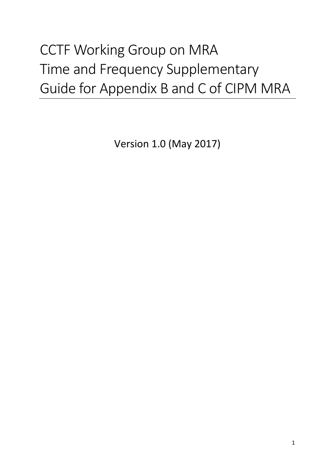# CCTF Working Group on MRA Time and Frequency Supplementary Guide for Appendix B and C of CIPM MRA

Version 1.0 (May 2017)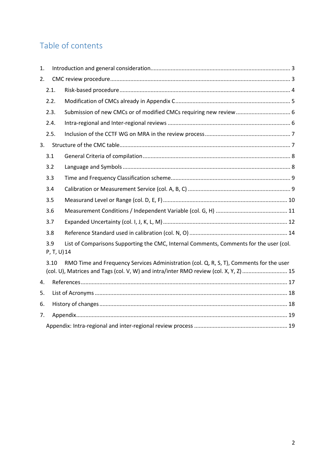# Table of contents

| 1. |                    |                                                                                                                                                                                  |  |  |  |  |  |
|----|--------------------|----------------------------------------------------------------------------------------------------------------------------------------------------------------------------------|--|--|--|--|--|
| 2. |                    |                                                                                                                                                                                  |  |  |  |  |  |
|    | 2.1.               |                                                                                                                                                                                  |  |  |  |  |  |
|    | 2.2.               |                                                                                                                                                                                  |  |  |  |  |  |
|    | 2.3.               |                                                                                                                                                                                  |  |  |  |  |  |
|    | 2.4.               |                                                                                                                                                                                  |  |  |  |  |  |
|    | 2.5.               |                                                                                                                                                                                  |  |  |  |  |  |
| 3. |                    |                                                                                                                                                                                  |  |  |  |  |  |
|    | 3.1                |                                                                                                                                                                                  |  |  |  |  |  |
|    | 3.2                |                                                                                                                                                                                  |  |  |  |  |  |
|    | 3.3                |                                                                                                                                                                                  |  |  |  |  |  |
|    | 3.4                |                                                                                                                                                                                  |  |  |  |  |  |
|    | 3.5                |                                                                                                                                                                                  |  |  |  |  |  |
|    | 3.6                |                                                                                                                                                                                  |  |  |  |  |  |
|    | 3.7                |                                                                                                                                                                                  |  |  |  |  |  |
|    | 3.8                |                                                                                                                                                                                  |  |  |  |  |  |
|    | 3.9<br>P, T, U) 14 | List of Comparisons Supporting the CMC, Internal Comments, Comments for the user (col.                                                                                           |  |  |  |  |  |
|    | 3.10               | RMO Time and Frequency Services Administration (col. Q, R, S, T), Comments for the user<br>(col. U), Matrices and Tags (col. V, W) and intra/inter RMO review (col. X, Y, Z)  15 |  |  |  |  |  |
| 4. |                    |                                                                                                                                                                                  |  |  |  |  |  |
| 5. |                    |                                                                                                                                                                                  |  |  |  |  |  |
| 6. |                    |                                                                                                                                                                                  |  |  |  |  |  |
| 7. |                    |                                                                                                                                                                                  |  |  |  |  |  |
|    |                    |                                                                                                                                                                                  |  |  |  |  |  |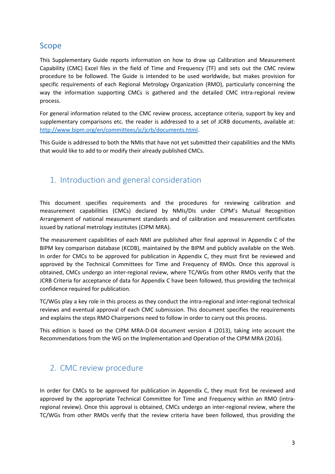# Scope

This Supplementary Guide reports information on how to draw up Calibration and Measurement Capability (CMC) Excel files in the field of Time and Frequency (TF) and sets out the CMC review procedure to be followed. The Guide is intended to be used worldwide, but makes provision for specific requirements of each Regional Metrology Organization (RMO), particularly concerning the way the information supporting CMCs is gathered and the detailed CMC intra-regional review process.

For general information related to the CMC review process, acceptance criteria, support by key and supplementary comparisons etc. the reader is addressed to a set of JCRB documents, available at: [http://www.bipm.org/en/committees/jc/jcrb/documents.html.](http://www.bipm.org/en/committees/jc/jcrb/documents.html)

This Guide is addressed to both the NMIs that have not yet submitted their capabilities and the NMIs that would like to add to or modify their already published CMCs.

# <span id="page-2-0"></span>1. Introduction and general consideration

This document specifies requirements and the procedures for reviewing calibration and measurement capabilities (CMCs) declared by NMIs/DIs under CIPM's Mutual Recognition Arrangement of national measurement standards and of calibration and measurement certificates issued by national metrology institutes (CIPM MRA).

The measurement capabilities of each NMI are published after final approval in Appendix C of the BIPM key comparison database (KCDB), maintained by the BIPM and publicly available on the Web. In order for CMCs to be approved for publication in Appendix C, they must first be reviewed and approved by the Technical Committees for Time and Frequency of RMOs. Once this approval is obtained, CMCs undergo an inter-regional review, where TC/WGs from other RMOs verify that the JCRB Criteria for acceptance of data for Appendix C have been followed, thus providing the technical confidence required for publication.

TC/WGs play a key role in this process as they conduct the intra-regional and inter-regional technical reviews and eventual approval of each CMC submission. This document specifies the requirements and explains the steps RMO Chairpersons need to follow in order to carry out this process.

This edition is based on the CIPM MRA-D-04 document version 4 (2013), taking into account the Recommendations from the WG on the Implementation and Operation of the CIPM MRA (2016).

# <span id="page-2-1"></span>2. CMC review procedure

In order for CMCs to be approved for publication in Appendix C, they must first be reviewed and approved by the appropriate Technical Committee for Time and Frequency within an RMO (intraregional review). Once this approval is obtained, CMCs undergo an inter-regional review, where the TC/WGs from other RMOs verify that the review criteria have been followed, thus providing the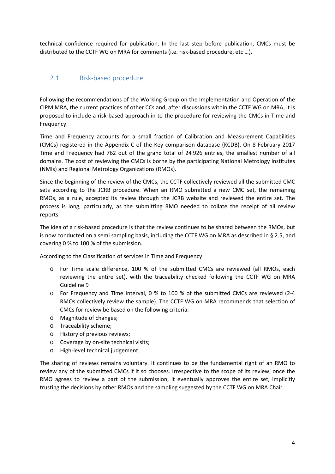technical confidence required for publication. In the last step before publication, CMCs must be distributed to the CCTF WG on MRA for comments (i.e. risk-based procedure, etc …).

## <span id="page-3-0"></span>2.1. Risk-based procedure

Following the recommendations of the Working Group on the Implementation and Operation of the CIPM MRA, the current practices of other CCs and, after discussions within the CCTF WG on MRA, it is proposed to include a risk-based approach in to the procedure for reviewing the CMCs in Time and Frequency.

Time and Frequency accounts for a small fraction of Calibration and Measurement Capabilities (CMCs) registered in the Appendix C of the Key comparison database (KCDB). On 8 February 2017 Time and Frequency had 762 out of the grand total of 24 926 entries, the smallest number of all domains. The cost of reviewing the CMCs is borne by the participating National Metrology institutes (NMIs) and Regional Metrology Organizations (RMOs).

Since the beginning of the review of the CMCs, the CCTF collectively reviewed all the submitted CMC sets according to the JCRB procedure. When an RMO submitted a new CMC set, the remaining RMOs, as a rule, accepted its review through the JCRB website and reviewed the entire set. The process is long, particularly, as the submitting RMO needed to collate the receipt of all review reports.

The idea of a risk-based procedure is that the review continues to be shared between the RMOs, but is now conducted on a semi sampling basis, including the CCTF WG on MRA as described in § 2.5, and covering 0 % to 100 % of the submission.

According to the Classification of services in Time and Frequency:

- o For Time scale difference, 100 % of the submitted CMCs are reviewed (all RMOs, each reviewing the entire set), with the traceability checked following the CCTF WG on MRA Guideline 9
- o For Frequency and Time Interval, 0 % to 100 % of the submitted CMCs are reviewed (2-4 RMOs collectively review the sample). The CCTF WG on MRA recommends that selection of CMCs for review be based on the following criteria:
- o Magnitude of changes;
- o Traceability scheme;
- o History of previous reviews;
- o Coverage by on-site technical visits;
- o High-level technical judgement.

The sharing of reviews remains voluntary. It continues to be the fundamental right of an RMO to review any of the submitted CMCs if it so chooses. Irrespective to the scope of its review, once the RMO agrees to review a part of the submission, it eventually approves the entire set, implicitly trusting the decisions by other RMOs and the sampling suggested by the CCTF WG on MRA Chair.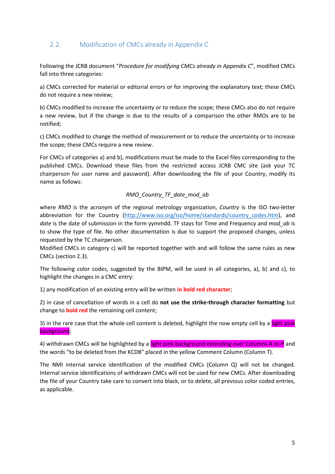## <span id="page-4-0"></span>2.2. Modification of CMCs already in Appendix C

Following the JCRB document "*Procedure for modifying CMCs already in Appendix C*", modified CMCs fall into three categories:

a) CMCs corrected for material or editorial errors or for improving the explanatory text; these CMCs do not require a new review;

b) CMCs modified to increase the uncertainty or to reduce the scope; these CMCs also do not require a new review, but if the change is due to the results of a comparison the other RMOs are to be notified;

c) CMCs modified to change the method of measurement or to reduce the uncertainty or to increase the scope; these CMCs require a new review.

For CMCs of categories a) and b), modifications must be made to the Excel files corresponding to the published CMCs. Download these files from the restricted access JCRB CMC site (ask your TC chairperson for user name and password). After downloading the file of your Country, modify its name as follows:

#### *RMO\_Country\_TF\_date\_mod\_ab*

where *RMO* is the acronym of the regional metrology organization, *Country* is the ISO two-letter abbreviation for the Country [\(http://www.iso.org/iso/home/standards/country\\_codes.htm\)](http://www.iso.org/iso/home/standards/country_codes.htm), and *date* is the date of submission in the form yymmdd. TF stays for Time and Frequency and *mod\_ab* is to show the type of file. No other documentation is due to support the proposed changes, unless requested by the TC chairperson.

Modified CMCs in category c) will be reported together with and will follow the same rules as new CMCs (section 2.3).

The following color codes, suggested by the BIPM, will be used in all categories, a), b) and c), to highlight the changes in a CMC entry:

1) any modification of an existing entry will be written **in bold red character**;

2) in case of cancellation of words in a cell do **not use the strike-through character formatting** but change to **bold red** the remaining cell content;

3) in the rare case that the whole cell content is deleted, highlight the now empty cell by a light pink background;

4) withdrawn CMCs will be highlighted by a light pink background extending over Columns A to P and the words "to be deleted from the KCDB" placed in the yellow Comment Column (Column T).

The NMI internal service identification of the modified CMCs (Column Q) will not be changed. Internal service identifications of withdrawn CMCs will not be used for new CMCs. After downloading the file of your Country take care to convert into black, or to delete, all previous color coded entries, as applicable.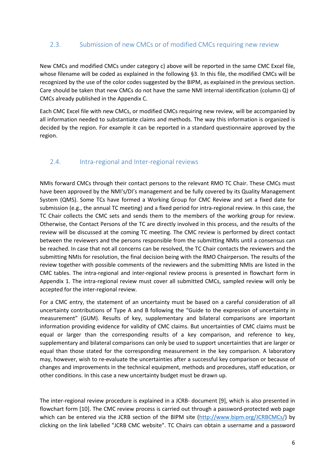#### <span id="page-5-0"></span>2.3. Submission of new CMCs or of modified CMCs requiring new review

New CMCs and modified CMCs under category c) above will be reported in the same CMC Excel file, whose filename will be coded as explained in the following §3. In this file, the modified CMCs will be recognized by the use of the color codes suggested by the BIPM, as explained in the previous section. Care should be taken that new CMCs do not have the same NMI internal identification (column Q) of CMCs already published in the Appendix C.

Each CMC Excel file with new CMCs, or modified CMCs requiring new review, will be accompanied by all information needed to substantiate claims and methods. The way this information is organized is decided by the region. For example it can be reported in a standard questionnaire approved by the region.

### <span id="page-5-1"></span>2.4. Intra-regional and Inter-regional reviews

NMIs forward CMCs through their contact persons to the relevant RMO TC Chair. These CMCs must have been approved by the NMI's/DI's management and be fully covered by its Quality Management System (QMS). Some TCs have formed a Working Group for CMC Review and set a fixed date for submission (e.g., the annual TC meeting) and a fixed period for intra-regional review. In this case, the TC Chair collects the CMC sets and sends them to the members of the working group for review. Otherwise, the Contact Persons of the TC are directly involved in this process, and the results of the review will be discussed at the coming TC meeting. The CMC review is performed by direct contact between the reviewers and the persons responsible from the submitting NMIs until a consensus can be reached. In case that not all concerns can be resolved, the TC Chair contacts the reviewers and the submitting NMIs for resolution, the final decision being with the RMO Chairperson. The results of the review together with possible comments of the reviewers and the submitting NMIs are listed in the CMC tables. The intra-regional and inter-regional review process is presented in flowchart form in Appendix 1. The intra-regional review must cover all submitted CMCs, sampled review will only be accepted for the inter-regional review.

For a CMC entry, the statement of an uncertainty must be based on a careful consideration of all uncertainty contributions of Type A and B following the "Guide to the expression of uncertainty in measurement" (GUM). Results of key, supplementary and bilateral comparisons are important information providing evidence for validity of CMC claims. But uncertainties of CMC claims must be equal or larger than the corresponding results of a key comparison, and reference to key, supplementary and bilateral comparisons can only be used to support uncertainties that are larger or equal than those stated for the corresponding measurement in the key comparison. A laboratory may, however, wish to re-evaluate the uncertainties after a successful key comparison or because of changes and improvements in the technical equipment, methods and procedures, staff education, or other conditions. In this case a new uncertainty budget must be drawn up.

The inter-regional review procedure is explained in a JCRB- document [9], which is also presented in flowchart form [10]. The CMC review process is carried out through a password-protected web page which can be entered via the JCRB section of the BIPM site [\(http://www.bipm.org/JCRBCMCs/\)](http://www.bipm.org/JCRBCMCs/) by clicking on the link labelled "JCRB CMC website". TC Chairs can obtain a username and a password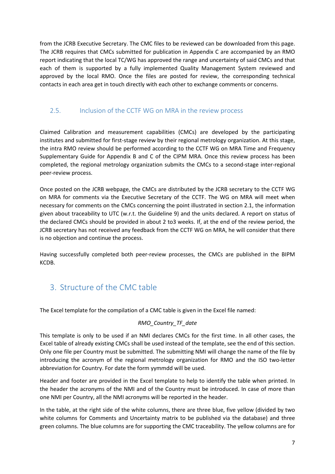from the JCRB Executive Secretary. The CMC files to be reviewed can be downloaded from this page. The JCRB requires that CMCs submitted for publication in Appendix C are accompanied by an RMO report indicating that the local TC/WG has approved the range and uncertainty of said CMCs and that each of them is supported by a fully implemented Quality Management System reviewed and approved by the local RMO. Once the files are posted for review, the corresponding technical contacts in each area get in touch directly with each other to exchange comments or concerns.

#### <span id="page-6-0"></span>2.5. Inclusion of the CCTF WG on MRA in the review process

Claimed Calibration and measurement capabilities (CMCs) are developed by the participating institutes and submitted for first-stage review by their regional metrology organization. At this stage, the intra RMO review should be performed according to the CCTF WG on MRA Time and Frequency Supplementary Guide for Appendix B and C of the CIPM MRA. Once this review process has been completed, the regional metrology organization submits the CMCs to a second-stage inter-regional peer-review process.

Once posted on the JCRB webpage, the CMCs are distributed by the JCRB secretary to the CCTF WG on MRA for comments via the Executive Secretary of the CCTF. The WG on MRA will meet when necessary for comments on the CMCs concerning the point illustrated in section 2.1, the information given about traceability to UTC (w.r.t. the Guideline 9) and the units declared. A report on status of the declared CMCs should be provided in about 2 to3 weeks. If, at the end of the review period, the JCRB secretary has not received any feedback from the CCTF WG on MRA, he will consider that there is no objection and continue the process.

Having successfully completed both peer-review processes, the CMCs are published in the BIPM KCDB.

# <span id="page-6-1"></span>3. Structure of the CMC table

The Excel template for the compilation of a CMC table is given in the Excel file named:

#### *RMO\_Country\_TF\_date*

This template is only to be used if an NMI declares CMCs for the first time. In all other cases, the Excel table of already existing CMCs shall be used instead of the template, see the end of this section. Only one file per Country must be submitted. The submitting NMI will change the name of the file by introducing the acronym of the regional metrology organization for RMO and the ISO two-letter abbreviation for Country. For date the form yymmdd will be used.

Header and footer are provided in the Excel template to help to identify the table when printed. In the header the acronyms of the NMI and of the Country must be introduced. In case of more than one NMI per Country, all the NMI acronyms will be reported in the header.

In the table, at the right side of the white columns, there are three blue, five yellow (divided by two white columns for Comments and Uncertainty matrix to be published via the database) and three green columns. The blue columns are for supporting the CMC traceability. The yellow columns are for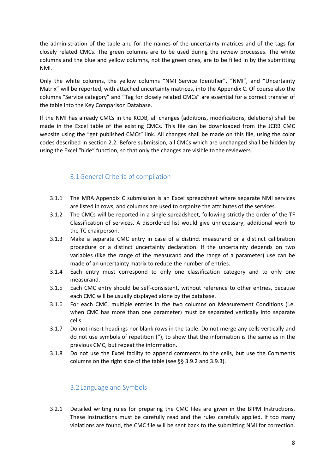the administration of the table and for the names of the uncertainty matrices and of the tags for closely related CMCs. The green columns are to be used during the review processes. The white columns and the blue and yellow columns, not the green ones, are to be filled in by the submitting NMI.

Only the white columns, the yellow columns "NMI Service Identifier", "NMI", and "Uncertainty Matrix" will be reported, with attached uncertainty matrices, into the Appendix C. Of course also the columns "Service category" and "Tag for closely related CMCs" are essential for a correct transfer of the table into the Key Comparison Database.

If the NMI has already CMCs in the KCDB, all changes (additions, modifications, deletions) shall be made in the Excel table of the existing CMCs. This file can be downloaded from the JCRB CMC website using the "get published CMCs" link. All changes shall be made on this file, using the color codes described in section 2.2. Before submission, all CMCs which are unchanged shall be hidden by using the Excel "hide" function, so that only the changes are visible to the reviewers.

## 3.1General Criteria of compilation

- <span id="page-7-0"></span>3.1.1 The MRA Appendix C submission is an Excel spreadsheet where separate NMI services are listed in rows, and columns are used to organize the attributes of the services.
- 3.1.2 The CMCs will be reported in a single spreadsheet, following strictly the order of the TF Classification of services. A disordered list would give unnecessary, additional work to the TC chairperson.
- 3.1.3 Make a separate CMC entry in case of a distinct measurand or a distinct calibration procedure or a distinct uncertainty declaration. If the uncertainty depends on two variables (like the range of the measurand and the range of a parameter) use can be made of an uncertainty matrix to reduce the number of entries.
- 3.1.4 Each entry must correspond to only one classification category and to only one measurand.
- 3.1.5 Each CMC entry should be self-consistent, without reference to other entries, because each CMC will be usually displayed alone by the database.
- 3.1.6 For each CMC, multiple entries in the two columns on Measurement Conditions (i.e. when CMC has more than one parameter) must be separated vertically into separate cells.
- 3.1.7 Do not insert headings nor blank rows in the table. Do not merge any cells vertically and do not use symbols of repetition ("), to show that the information is the same as in the previous CMC, but repeat the information.
- 3.1.8 Do not use the Excel facility to append comments to the cells, but use the Comments columns on the right side of the table (see §§ 3.9.2 and 3.9.3).

### 3.2 Language and Symbols

<span id="page-7-1"></span>3.2.1 Detailed writing rules for preparing the CMC files are given in the BIPM Instructions. These Instructions must be carefully read and the rules carefully applied. If too many violations are found, the CMC file will be sent back to the submitting NMI for correction.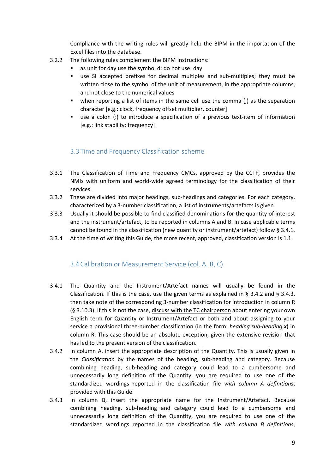Compliance with the writing rules will greatly help the BIPM in the importation of the Excel files into the database.

- 3.2.2 The following rules complement the BIPM Instructions:
	- as unit for day use the symbol d; do not use: day
	- use SI accepted prefixes for decimal multiples and sub-multiples; they must be written close to the symbol of the unit of measurement, in the appropriate columns, and not close to the numerical values
	- when reporting a list of items in the same cell use the comma (,) as the separation character [e.g.: clock, frequency offset multiplier, counter]
	- use a colon (:) to introduce a specification of a previous text-item of information [e.g.: link stability: frequency]

### 3.3 Time and Frequency Classification scheme

- <span id="page-8-0"></span>3.3.1 The Classification of Time and Frequency CMCs, approved by the CCTF, provides the NMIs with uniform and world-wide agreed terminology for the classification of their services.
- 3.3.2 These are divided into major headings, sub-headings and categories. For each category, characterized by a 3-number classification, a list of instruments/artefacts is given.
- 3.3.3 Usually it should be possible to find classified denominations for the quantity of interest and the instrument/artefact, to be reported in columns A and B. In case applicable terms cannot be found in the classification (new quantity or instrument/artefact) follow § 3.4.1.
- 3.3.4 At the time of writing this Guide, the more recent, approved, classification version is 1.1.

#### 3.4Calibration or Measurement Service (col. A, B, C)

- <span id="page-8-1"></span>3.4.1 The Quantity and the Instrument/Artefact names will usually be found in the Classification. If this is the case, use the given terms as explained in § 3.4.2 and § 3.4.3, then take note of the corresponding 3-number classification for introduction in column R (§ 3.10.3). If this is not the case, discuss with the TC chairperson about entering your own English term for Quantity or Instrument/Artefact or both and about assigning to your service a provisional three-number classification (in the form: *heading.sub-heading.x*) in column R. This case should be an absolute exception, given the extensive revision that has led to the present version of the classification.
- 3.4.2 In column A, insert the appropriate description of the Quantity. This is usually given in the *Classification* by the names of the heading, sub-heading and category. Because combining heading, sub-heading and category could lead to a cumbersome and unnecessarily long definition of the Quantity, you are required to use one of the standardized wordings reported in the classification file *with column A definitions*, provided with this Guide.
- 3.4.3 In column B, insert the appropriate name for the Instrument/Artefact. Because combining heading, sub-heading and category could lead to a cumbersome and unnecessarily long definition of the Quantity, you are required to use one of the standardized wordings reported in the classification file *with column B definitions*,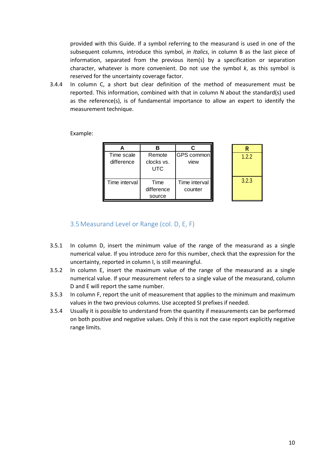provided with this Guide. If a symbol referring to the measurand is used in one of the subsequent columns, introduce this symbol, *in Italics*, in column B as the last piece of information, separated from the previous item(s) by a specification or separation character, whatever is more convenient. Do not use the symbol *k*, as this symbol is reserved for the uncertainty coverage factor.

3.4.4 In column C, a short but clear definition of the method of measurement must be reported. This information, combined with that in column N about the standard(s) used as the reference(s), is of fundamental importance to allow an expert to identify the measurement technique.

Example:

| Time scale<br>difference | Remote<br>clocks vs.<br>UTC  | GPS common<br>view       | 1.2.2 |
|--------------------------|------------------------------|--------------------------|-------|
| Time interval            | Time<br>difference<br>source | Time interval<br>counter | 3.2.3 |

#### 3.5Measurand Level or Range (col. D, E, F)

- <span id="page-9-0"></span>3.5.1 In column D, insert the minimum value of the range of the measurand as a single numerical value. If you introduce zero for this number, check that the expression for the uncertainty, reported in column I, is still meaningful.
- 3.5.2 In column E, insert the maximum value of the range of the measurand as a single numerical value. If your measurement refers to a single value of the measurand, column D and E will report the same number.
- 3.5.3 In column F, report the unit of measurement that applies to the minimum and maximum values in the two previous columns. Use accepted SI prefixes if needed.
- 3.5.4 Usually it is possible to understand from the quantity if measurements can be performed on both positive and negative values. Only if this is not the case report explicitly negative range limits.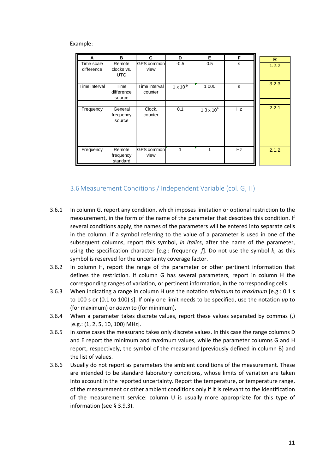| A                        | в                                  | C                        | D                  | Е                   | F         |            |
|--------------------------|------------------------------------|--------------------------|--------------------|---------------------|-----------|------------|
| Time scale<br>difference | Remote<br>clocks vs.<br><b>UTC</b> | GPS common<br>view       | $-0.5$             | 0.5                 | s         | R<br>1.2.2 |
| Time interval            | Time<br>difference<br>source       | Time interval<br>counter | $1 \times 10^{-9}$ | 1 0 0 0             | s         | 3.2.3      |
|                          |                                    |                          |                    |                     |           |            |
| Frequency                | General<br>frequency<br>source     | Clock,<br>counter        | 0.1                | $1.3 \times 10^{9}$ | <b>Hz</b> | 2.2.1      |
| Frequency                | Remote<br>frequency<br>standard    | GPS common<br>view       | 1                  | 1                   | Hz        | 2.1.2      |

#### 3.6Measurement Conditions / Independent Variable (col. G, H)

- <span id="page-10-0"></span>3.6.1 In column G, report any condition, which imposes limitation or optional restriction to the measurement, in the form of the name of the parameter that describes this condition. If several conditions apply, the names of the parameters will be entered into separate cells in the column. If a symbol referring to the value of a parameter is used in one of the subsequent columns, report this symbol, *in Italics*, after the name of the parameter, using the specification character [e.g.: frequency: *f*]. Do not use the symbol *k*, as this symbol is reserved for the uncertainty coverage factor.
- 3.6.2 In column H, report the range of the parameter or other pertinent information that defines the restriction. If column G has several parameters, report in column H the corresponding ranges of variation, or pertinent information, in the corresponding cells.
- 3.6.3 When indicating a range in column H use the notation *minimum* to *maximum* [e.g.: 0.1 s to 100 s or (0.1 to 100) s]. If only one limit needs to be specified, use the notation *up* to (for maximum) or *down* to (for minimum).
- 3.6.4 When a parameter takes discrete values, report these values separated by commas (,) [e.g.: (1, 2, 5, 10, 100) MHz].
- 3.6.5 In some cases the measurand takes only discrete values. In this case the range columns D and E report the minimum and maximum values, while the parameter columns G and H report, respectively, the symbol of the measurand (previously defined in column B) and the list of values.
- 3.6.6 Usually do not report as parameters the ambient conditions of the measurement. These are intended to be standard laboratory conditions, whose limits of variation are taken into account in the reported uncertainty. Report the temperature, or temperature range, of the measurement or other ambient conditions only if it is relevant to the identification of the measurement service: column U is usually more appropriate for this type of information (see § 3.9.3).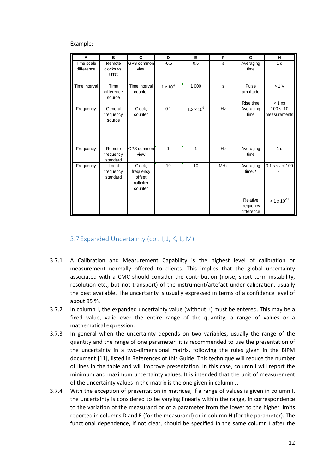| A             | B                        | C                        | D                  | Е                   | F          | G                  | н                     |
|---------------|--------------------------|--------------------------|--------------------|---------------------|------------|--------------------|-----------------------|
| Time scale    | Remote                   | GPS common               | $-0.5$             | 0.5                 | s          | Averaging          | 1 <sub>d</sub>        |
| difference    | clocks vs.<br><b>UTC</b> | view                     |                    |                     |            | time               |                       |
|               |                          |                          |                    |                     |            |                    |                       |
| Time interval | Time<br>difference       | Time interval<br>counter | $1 \times 10^{-9}$ | 1 0 0 0             | s          | Pulse<br>amplitude | >1 V                  |
|               | source                   |                          |                    |                     |            |                    |                       |
|               |                          |                          |                    |                     |            | Rise time          | $< 1$ ns              |
| Frequency     | General                  | Clock,                   | 0.1                | $1.3 \times 10^{9}$ | Hz         | Averaging          | 100 s, 10             |
|               | frequency                | counter                  |                    |                     |            | time               | measurements          |
|               | source                   |                          |                    |                     |            |                    |                       |
|               |                          |                          |                    |                     |            |                    |                       |
|               |                          |                          |                    |                     |            |                    |                       |
|               |                          |                          |                    |                     |            |                    |                       |
| Frequency     | Remote                   | GPS common               | $\mathbf{1}$       | 1                   | Hz         | Averaging          | 1 <sub>d</sub>        |
|               | frequency                | view                     |                    |                     |            | time               |                       |
|               | standard                 |                          |                    |                     |            |                    |                       |
| Frequency     | Local                    | Clock,                   | 10                 | 10                  | <b>MHz</b> | Averaging          | $0.1 s \le t < 100$   |
|               | frequency                | frequency                |                    |                     |            | time, $t$          | s                     |
|               | standard                 | offset                   |                    |                     |            |                    |                       |
|               |                          | multiplier,              |                    |                     |            |                    |                       |
|               |                          | counter                  |                    |                     |            |                    |                       |
|               |                          |                          |                    |                     |            | Relative           | $< 1 \times 10^{-11}$ |
|               |                          |                          |                    |                     |            | frequency          |                       |
|               |                          |                          |                    |                     |            | difference         |                       |

#### 3.7 Expanded Uncertainty (col. I, J, K, L, M)

- <span id="page-11-0"></span>3.7.1 A Calibration and Measurement Capability is the highest level of calibration or measurement normally offered to clients. This implies that the global uncertainty associated with a CMC should consider the contribution (noise, short term instability, resolution etc., but not transport) of the instrument/artefact under calibration, usually the best available. The uncertainty is usually expressed in terms of a confidence level of about 95 %.
- 3.7.2 In column I, the expanded uncertainty value (without  $\pm$ ) must be entered. This may be a fixed value, valid over the entire range of the quantity, a range of values or a mathematical expression.
- 3.7.3 In general when the uncertainty depends on two variables, usually the range of the quantity and the range of one parameter, it is recommended to use the presentation of the uncertainty in a two-dimensional matrix, following the rules given in the BIPM document [11], listed in References of this Guide. This technique will reduce the number of lines in the table and will improve presentation. In this case, column I will report the minimum and maximum uncertainty values. It is intended that the unit of measurement of the uncertainty values in the matrix is the one given in column J.
- 3.7.4 With the exception of presentation in matrices, if a range of values is given in column I, the uncertainty is considered to be varying linearly within the range, in correspondence to the variation of the measurand or of a parameter from the lower to the higher limits reported in columns D and E (for the measurand) or in column H (for the parameter). The functional dependence, if not clear, should be specified in the same column I after the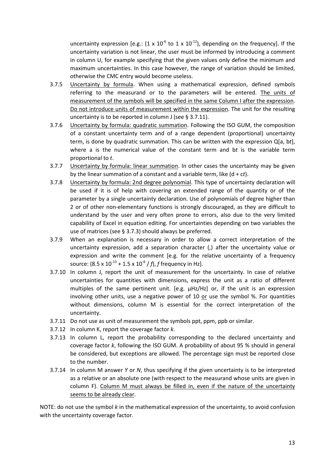uncertainty expression [e.g.:  $(1 \times 10^{-6} \text{ to } 1 \times 10^{-12})$ , depending on the frequency]. If the uncertainty variation is not linear, the user must be informed by introducing a comment in column U, for example specifying that the given values only define the minimum and maximum uncertainties. In this case however, the range of variation should be limited, otherwise the CMC entry would become useless.

- 3.7.5 Uncertainty by formula. When using a mathematical expression, defined symbols referring to the measurand or to the parameters will be entered. The units of measurement of the symbols will be specified in the same Column I after the expression. Do not introduce units of measurement within the expression. The unit for the resulting uncertainty is to be reported in column J (see § 3.7.11).
- 3.7.6 Uncertainty by formula: quadratic summation. Following the ISO GUM, the composition of a constant uncertainty term and of a range dependent (proportional) uncertainty term, is done by quadratic summation. This can be written with the expression Q[a, b*t*], where a is the numerical value of the constant term and b*t* is the variable term proportional to *t*.
- 3.7.7 Uncertainty by formula: linear summation. In other cases the uncertainty may be given by the linear summation of a constant and a variable term, like (d + c*t*).
- 3.7.8 Uncertainty by formula: 2nd degree polynomial. This type of uncertainty declaration will be used if it is of help with covering an extended range of the quantity or of the parameter by a single uncertainty declaration. Use of polynomials of degree higher than 2 or of other non-elementary functions is strongly discouraged, as they are difficult to understand by the user and very often prone to errors, also due to the very limited capability of Excel in equation editing. For uncertainties depending on two variables the use of matrices (see § 3.7.3) should always be preferred.
- 3.7.9 When an explanation is necessary in order to allow a correct interpretation of the uncertainty expression, add a separation character (,) after the uncertainty value or expression and write the comment [e.g. for the relative uncertainty of a frequency source:  $(8.5 \times 10^{-13} + 1.5 \times 10^{-6} / f)$ , *f* frequency in Hz].
- 3.7.10 In column J, report the unit of measurement for the uncertainty. In case of relative uncertainties for quantities with dimensions, express the unit as a ratio of different multiples of the same pertinent unit. [e.g. µHz/Hz] or, if the unit is an expression involving other units, use a negative power of 10 or use the symbol %. For quantities without dimensions, column M is essential for the correct interpretation of the uncertainty.
- 3.7.11 Do not use as unit of measurement the symbols ppt, ppm, ppb or similar.
- 3.7.12 In column K, report the coverage factor *k*.
- 3.7.13 In column L, report the probability corresponding to the declared uncertainty and coverage factor *k*, following the ISO GUM. A probability of about 95 % should in general be considered, but exceptions are allowed. The percentage sign must be reported close to the number.
- 3.7.14 In column M answer *Y* or *N*, thus specifying if the given uncertainty is to be interpreted as a relative or an absolute one (with respect to the measurand whose units are given in column F). Column M must always be filled in, even if the nature of the uncertainty seems to be already clear.

NOTE: do not use the symbol *k* in the mathematical expression of the uncertainty, to avoid confusion with the uncertainty coverage factor.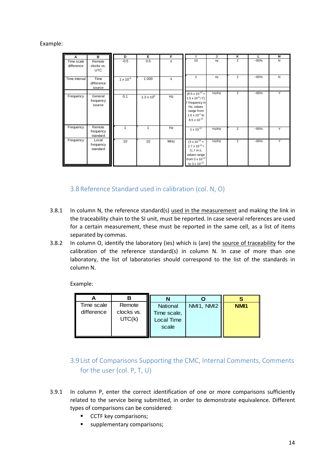| A                        | в                                  | D                  | Е                   | F          |                                                                                                                                                          | J     | κ              | L      | M |
|--------------------------|------------------------------------|--------------------|---------------------|------------|----------------------------------------------------------------------------------------------------------------------------------------------------------|-------|----------------|--------|---|
| Time scale<br>difference | Remote<br>clocks vs.<br><b>UTC</b> | $-0.5$             | 0.5                 | s          | 10                                                                                                                                                       | ns    | $\overline{2}$ | $-95%$ | N |
| Time interval            | Time<br>difference<br>source       | $1 \times 10^{-9}$ | 1 0 0 0             | s          | $\overline{2}$                                                                                                                                           | ns    | $\overline{2}$ | $-95%$ | N |
| Frequency                | General<br>frequency<br>source     | 0.1                | $1.3 \times 10^{9}$ | Hz         | $(8.5 \times 10^{-13} +$<br>$1.5 \times 10^{-6}$ / f),<br>f frequency in<br>Hz, values<br>range from<br>$1.5 \times 10^{-5}$ to<br>$8.5 \times 10^{-13}$ | Hz/Hz | $\overline{2}$ | $-95%$ | Y |
| Frequency                | Remote<br>frequency<br>standard    | 1                  | 1                   | Hz         | $1 \times 10^{-13}$                                                                                                                                      | Hz/Hz | $\overline{2}$ | $-95%$ | Y |
| Frequency                | Local<br>frequency<br>standard     | 10                 | 10                  | <b>MHz</b> | $(3 \times 10^{-13} +$<br>$2.7 \times 10^{-13}$ /<br>$t$ , $t$ in $s$ ,<br>values range<br>from $3 \times 10^{-12}$<br>to $3 \times 10^{-13}$            | Hz/Hz | $\overline{2}$ | $-95%$ | Y |

#### 3.8Reference Standard used in calibration (col. N, O)

- <span id="page-13-0"></span>3.8.1 In column N, the reference standard(s) used in the measurement and making the link in the traceability chain to the SI unit, must be reported. In case several references are used for a certain measurement, these must be reported in the same cell, as a list of items separated by commas.
- 3.8.2 In column O, identify the laboratory (ies) which is (are) the source of traceability for the calibration of the reference standard(s) in column N. In case of more than one laboratory, the list of laboratories should correspond to the list of the standards in column N.

Example:

| Time scale | Remote     | <b>National</b> | NMI1, NMI2 | NM <sub>1</sub> |
|------------|------------|-----------------|------------|-----------------|
| difference | clocks vs. | Time scale,     |            |                 |
|            | UTC(k)     | Local Time      |            |                 |
|            |            | scale           |            |                 |
|            |            |                 |            |                 |

# <span id="page-13-1"></span>3.9 List of Comparisons Supporting the CMC, Internal Comments, Comments for the user (col. P, T, U)

- 3.9.1 In column P, enter the correct identification of one or more comparisons sufficiently related to the service being submitted, in order to demonstrate equivalence. Different types of comparisons can be considered:
	- CCTF key comparisons;
	- supplementary comparisons;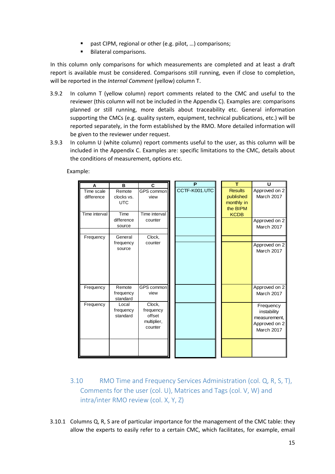- past CIPM, regional or other (e.g. pilot, …) comparisons;
- **Bilateral comparisons.**

In this column only comparisons for which measurements are completed and at least a draft report is available must be considered. Comparisons still running, even if close to completion, will be reported in the *Internal Comment* (yellow) column T.

- 3.9.2 In column T (yellow column) report comments related to the CMC and useful to the reviewer (this column will not be included in the Appendix C). Examples are: comparisons planned or still running, more details about traceability etc. General information supporting the CMCs (e.g. quality system, equipment, technical publications, etc.) will be reported separately, in the form established by the RMO. More detailed information will be given to the reviewer under request.
- 3.9.3 In column U (white column) report comments useful to the user, as this column will be included in the Appendix C. Examples are: specific limitations to the CMC, details about the conditions of measurement, options etc.

Example:

| A             | B                   | C                      | P             | т              | U             |
|---------------|---------------------|------------------------|---------------|----------------|---------------|
| Time scale    | Remote              | GPS common             | CCTF-K001.UTC | <b>Results</b> | Approved on 2 |
| difference    | clocks vs.          | view                   |               | published      | March 2017    |
|               | <b>UTC</b>          |                        |               | monthly in     |               |
|               |                     |                        |               | the BIPM       |               |
| Time interval | Time                | Time interval          |               | <b>KCDB</b>    |               |
|               | difference          | counter                |               |                | Approved on 2 |
|               | source              |                        |               |                | March 2017    |
| Frequency     | General             | Clock,                 |               |                |               |
|               | frequency           | counter                |               |                | Approved on 2 |
|               | source              |                        |               |                | March 2017    |
|               |                     |                        |               |                |               |
|               |                     |                        |               |                |               |
|               |                     |                        |               |                |               |
|               |                     |                        |               |                |               |
|               |                     | GPS common             |               |                |               |
| Frequency     | Remote<br>frequency | view                   |               |                | Approved on 2 |
|               | standard            |                        |               |                | March 2017    |
| Frequency     | Local               | Clock,                 |               |                | Frequency     |
|               | frequency           | frequency              |               |                | instability   |
|               | standard            | offset                 |               |                | measurement,  |
|               |                     | multiplier,<br>counter |               |                | Approved on 2 |
|               |                     |                        |               |                | March 2017    |
|               |                     |                        |               |                |               |
|               |                     |                        |               |                |               |
|               |                     |                        |               |                |               |

- <span id="page-14-0"></span>3.10 RMO Time and Frequency Services Administration (col. Q, R, S, T), Comments for the user (col. U), Matrices and Tags (col. V, W) and intra/inter RMO review (col. X, Y, Z)
- 3.10.1 Columns Q, R, S are of particular importance for the management of the CMC table: they allow the experts to easily refer to a certain CMC, which facilitates, for example, email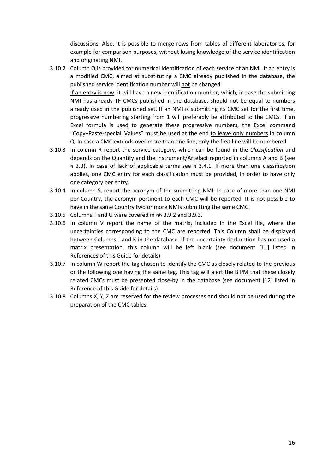discussions. Also, it is possible to merge rows from tables of different laboratories, for example for comparison purposes, without losing knowledge of the service identification and originating NMI.

- 3.10.2 Column Q is provided for numerical identification of each service of an NMI. If an entry is a modified CMC, aimed at substituting a CMC already published in the database, the published service identification number will not be changed. If an entry is new, it will have a new identification number, which, in case the submitting NMI has already TF CMCs published in the database, should not be equal to numbers already used in the published set. If an NMI is submitting its CMC set for the first time, progressive numbering starting from 1 will preferably be attributed to the CMCs. If an Excel formula is used to generate these progressive numbers, the Excel command "Copy+Paste-special|Values" must be used at the end to leave only numbers in column Q. In case a CMC extends over more than one line, only the first line will be numbered.
- 3.10.3 In column R report the service category, which can be found in the *Classification* and depends on the Quantity and the Instrument/Artefact reported in columns A and B (see § 3.3). In case of lack of applicable terms see § 3.4.1. If more than one classification applies, one CMC entry for each classification must be provided, in order to have only one category per entry.
- 3.10.4 In column S, report the acronym of the submitting NMI. In case of more than one NMI per Country, the acronym pertinent to each CMC will be reported. It is not possible to have in the same Country two or more NMIs submitting the same CMC.
- 3.10.5 Columns T and U were covered in §§ 3.9.2 and 3.9.3.
- 3.10.6 In column V report the name of the matrix, included in the Excel file, where the uncertainties corresponding to the CMC are reported. This Column shall be displayed between Columns J and K in the database. If the uncertainty declaration has not used a matrix presentation, this column will be left blank (see document [11] listed in References of this Guide for details).
- 3.10.7 In column W report the tag chosen to identify the CMC as closely related to the previous or the following one having the same tag. This tag will alert the BIPM that these closely related CMCs must be presented close-by in the database (see document [12] listed in Reference of this Guide for details).
- 3.10.8 Columns X, Y, Z are reserved for the review processes and should not be used during the preparation of the CMC tables.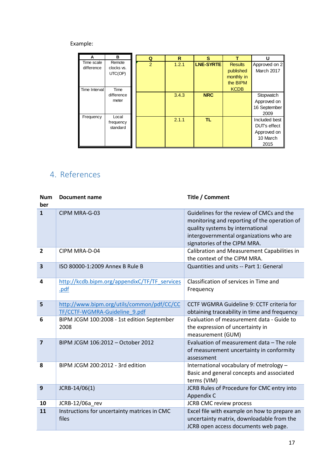| A                        | в                    | Q              | R     | s                |                | U                  |
|--------------------------|----------------------|----------------|-------|------------------|----------------|--------------------|
| Time scale<br>difference | Remote<br>clocks vs. | $\overline{2}$ | 1.2.1 | <b>LNE-SYRTE</b> | <b>Results</b> | Approved on 2      |
|                          | UTC(OP)              |                |       |                  | published      | March 2017         |
|                          |                      |                |       |                  | monthly in     |                    |
|                          |                      |                |       |                  | the BIPM       |                    |
| Time Interval            | Time                 |                |       |                  | <b>KCDB</b>    |                    |
|                          | difference           |                | 3.4.3 | <b>NRC</b>       |                | Stopwatch          |
|                          | meter                |                |       |                  |                | Approved on        |
|                          |                      |                |       |                  |                | 16 September       |
| Frequency                | Local                |                |       |                  |                | 2009               |
|                          | frequency            |                | 2.1.1 | TL.              |                | Included best      |
|                          | standard             |                |       |                  |                | <b>DUTs</b> effect |
|                          |                      |                |       |                  |                | Approved on        |
|                          |                      |                |       |                  |                | 10 March           |
|                          |                      |                |       |                  |                | 2015               |

# <span id="page-16-0"></span>4. References

| <b>Num</b><br>ber | <b>Document name</b>                                                        | Title / Comment                                                                                                                                                                                          |
|-------------------|-----------------------------------------------------------------------------|----------------------------------------------------------------------------------------------------------------------------------------------------------------------------------------------------------|
| $\mathbf{1}$      | CIPM MRA-G-03                                                               | Guidelines for the review of CMCs and the<br>monitoring and reporting of the operation of<br>quality systems by international<br>intergovernmental organizations who are<br>signatories of the CIPM MRA. |
| $\overline{2}$    | CIPM MRA-D-04                                                               | Calibration and Measurement Capabilities in<br>the context of the CIPM MRA.                                                                                                                              |
| 3                 | ISO 80000-1:2009 Annex B Rule B                                             | Quantities and units -- Part 1: General                                                                                                                                                                  |
| 4                 | http://kcdb.bipm.org/appendixC/TF/TF services<br>.pdf                       | Classification of services in Time and<br>Frequency                                                                                                                                                      |
| 5                 | http://www.bipm.org/utils/common/pdf/CC/CC<br>TF/CCTF-WGMRA-Guideline 9.pdf | CCTF WGMRA Guideline 9: CCTF criteria for<br>obtaining traceability in time and frequency                                                                                                                |
| 6                 | BIPM JCGM 100:2008 - 1st edition September<br>2008                          | Evaluation of measurement data - Guide to<br>the expression of uncertainty in<br>measurement (GUM)                                                                                                       |
| $\overline{7}$    | BIPM JCGM 106:2012 - October 2012                                           | Evaluation of measurement data - The role<br>of measurement uncertainty in conformity<br>assessment                                                                                                      |
| 8                 | BIPM JCGM 200:2012 - 3rd edition                                            | International vocabulary of metrology -<br>Basic and general concepts and associated<br>terms (VIM)                                                                                                      |
| 9                 | JCRB-14/06(1)                                                               | JCRB Rules of Procedure for CMC entry into<br>Appendix C                                                                                                                                                 |
| 10                | JCRB-12/06a_rev                                                             | <b>JCRB CMC review process</b>                                                                                                                                                                           |
| 11                | Instructions for uncertainty matrices in CMC<br>files                       | Excel file with example on how to prepare an<br>uncertainty matrix, downloadable from the<br>JCRB open access documents web page.                                                                        |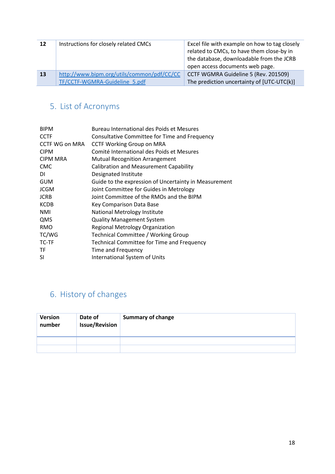| 12        | Instructions for closely related CMCs      | Excel file with example on how to tag closely<br>related to CMCs, to have them close-by in<br>the database, downloadable from the JCRB<br>open access documents web page. |
|-----------|--------------------------------------------|---------------------------------------------------------------------------------------------------------------------------------------------------------------------------|
| <b>13</b> | http://www.bipm.org/utils/common/pdf/CC/CC | CCTF WGMRA Guideline 5 (Rev. 201509)                                                                                                                                      |
|           | TF/CCTF-WGMRA-Guideline 5.pdf              | The prediction uncertainty of [UTC-UTC(k)]                                                                                                                                |

# <span id="page-17-0"></span>5. List of Acronyms

| <b>BIPM</b>           | Bureau International des Poids et Mesures             |
|-----------------------|-------------------------------------------------------|
| <b>CCTF</b>           | Consultative Committee for Time and Frequency         |
| <b>CCTF WG on MRA</b> | <b>CCTF Working Group on MRA</b>                      |
| <b>CIPM</b>           | Comité International des Poids et Mesures             |
| <b>CIPM MRA</b>       | <b>Mutual Recognition Arrangement</b>                 |
| <b>CMC</b>            | <b>Calibration and Measurement Capability</b>         |
| DI                    | Designated Institute                                  |
| <b>GUM</b>            | Guide to the expression of Uncertainty in Measurement |
| <b>JCGM</b>           | Joint Committee for Guides in Metrology               |
| <b>JCRB</b>           | Joint Committee of the RMOs and the BIPM              |
| <b>KCDB</b>           | Key Comparison Data Base                              |
| <b>NMI</b>            | National Metrology Institute                          |
| QMS                   | <b>Quality Management System</b>                      |
| <b>RMO</b>            | <b>Regional Metrology Organization</b>                |
| TC/WG                 | Technical Committee / Working Group                   |
| TC-TF                 | Technical Committee for Time and Frequency            |
| TF                    | Time and Frequency                                    |
| SI                    | <b>International System of Units</b>                  |
|                       |                                                       |

# <span id="page-17-1"></span>6. History of changes

| <b>Version</b><br>number | Date of<br><b>Issue/Revision</b> | <b>Summary of change</b> |
|--------------------------|----------------------------------|--------------------------|
|                          |                                  |                          |
|                          |                                  |                          |